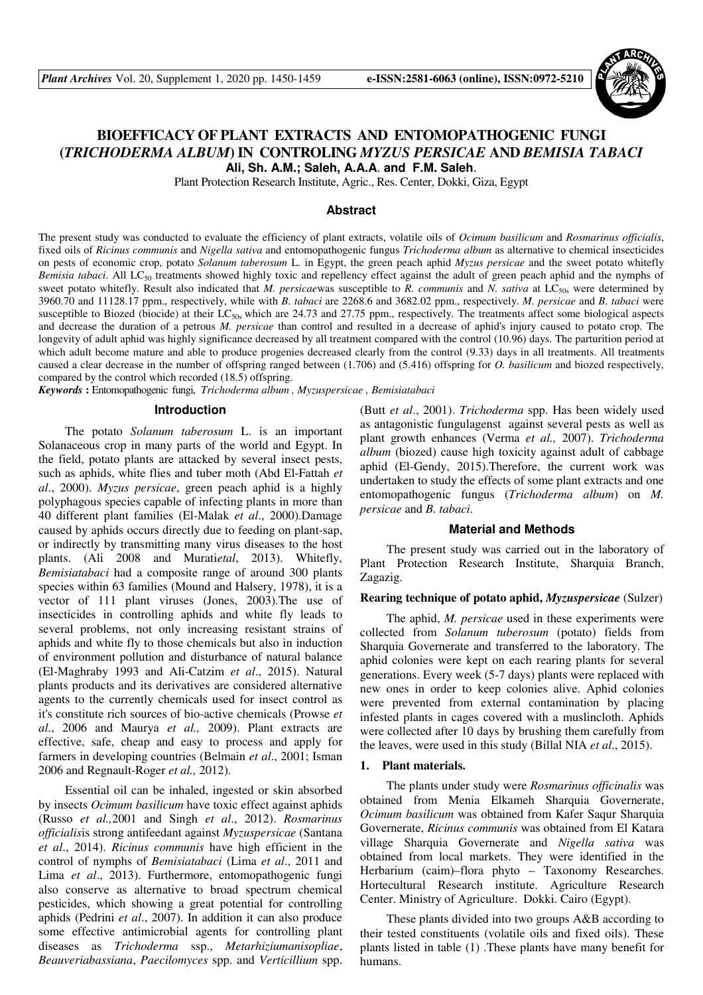

# **BIOEFFICACY OF PLANT EXTRACTS AND ENTOMOPATHOGENIC FUNGI (***TRICHODERMA ALBUM***) IN CONTROLING** *MYZUS PERSICAE* **AND** *BEMISIA TABACI* **Ali, Sh. A.M.; Saleh, A.A.A**. **and F.M. Saleh**.

Plant Protection Research Institute, Agric., Res. Center, Dokki, Giza, Egypt

#### **Abstract**

The present study was conducted to evaluate the efficiency of plant extracts, volatile oils of *Ocimum basilicum* and *Rosmarinus officialis*, fixed oils of *Ricinus communis* and *Nigella sativa* and entomopathogenic fungus *Trichoderma album* as alternative to chemical insecticides on pests of economic crop, potato *Solanum taberosum* L. in Egypt, the green peach aphid *Myzus persicae* and the sweet potato whitefly *Bemisia tabaci*. All LC<sub>50</sub> treatments showed highly toxic and repellency effect against the adult of green peach aphid and the nymphs of sweet potato whitefly. Result also indicated that *M. persicaewas* susceptible to *R. communis* and *N. sativa* at LC<sub>50s</sub> were determined by 3960.70 and 11128.17 ppm., respectively, while with *B*. *tabaci* are 2268.6 and 3682.02 ppm., respectively. *M. persicae* and *B*. *tabaci* were susceptible to Biozed (biocide) at their  $LC_{50s}$  which are 24.73 and 27.75 ppm., respectively. The treatments affect some biological aspects and decrease the duration of a petrous *M. persicae* than control and resulted in a decrease of aphid's injury caused to potato crop. The longevity of adult aphid was highly significance decreased by all treatment compared with the control (10.96) days. The parturition period at which adult become mature and able to produce progenies decreased clearly from the control (9.33) days in all treatments. All treatments caused a clear decrease in the number of offspring ranged between (1.706) and (5.416) offspring for *O. basilicum* and biozed respectively, compared by the control which recorded (18.5) offspring.

*Keywords* **:** Entomopathogenic fungi, *Trichoderma album , Myzuspersicae , Bemisiatabaci*

#### **Introduction**

The potato *Solanum taberosum* L. is an important Solanaceous crop in many parts of the world and Egypt. In the field, potato plants are attacked by several insect pests, such as aphids, white flies and tuber moth (Abd El-Fattah *et al*., 2000). *Myzus persicae*, green peach aphid is a highly polyphagous species capable of infecting plants in more than 40 different plant families (El-Malak *et al*., 2000).Damage caused by aphids occurs directly due to feeding on plant-sap, or indirectly by transmitting many virus diseases to the host plants. (Ali 2008 and Murati*etal*, 2013). Whitefly, *Bemisiatabaci* had a composite range of around 300 plants species within 63 families (Mound and Halsery, 1978), it is a vector of 111 plant viruses (Jones, 2003).The use of insecticides in controlling aphids and white fly leads to several problems, not only increasing resistant strains of aphids and white fly to those chemicals but also in induction of environment pollution and disturbance of natural balance (El-Maghraby 1993 and Ali-Catzim *et al*., 2015). Natural plants products and its derivatives are considered alternative agents to the currently chemicals used for insect control as it's constitute rich sources of bio-active chemicals (Prowse *et al*., 2006 and Maurya *et al.,* 2009). Plant extracts are effective, safe, cheap and easy to process and apply for farmers in developing countries (Belmain *et al*., 2001; Isman 2006 and Regnault-Roger *et al.,* 2012).

Essential oil can be inhaled, ingested or skin absorbed by insects *Ocimum basilicum* have toxic effect against aphids (Russo *et al.,*2001 and Singh *et al*., 2012). *Rosmarinus officialis*is strong antifeedant against *Myzuspersicae* (Santana *et al*., 2014). *Ricinus communis* have high efficient in the control of nymphs of *Bemisiatabaci* (Lima *et al*., 2011 and Lima *et al*., 2013). Furthermore, entomopathogenic fungi also conserve as alternative to broad spectrum chemical pesticides, which showing a great potential for controlling aphids (Pedrini *et al*., 2007). In addition it can also produce some effective antimicrobial agents for controlling plant diseases as *Trichoderma* ssp., *Metarhiziumanisopliae*, *Beauveriabassiana*, *Paecilomyces* spp. and *Verticillium* spp.

(Butt *et al*., 2001). *Trichoderma* spp. Has been widely used as antagonistic fungulagenst against several pests as well as plant growth enhances (Verma *et al.,* 2007). *Trichoderma album* (biozed) cause high toxicity against adult of cabbage aphid (El-Gendy, 2015).Therefore, the current work was undertaken to study the effects of some plant extracts and one entomopathogenic fungus (*Trichoderma album*) on *M. persicae* and *B. tabaci*.

#### **Material and Methods**

The present study was carried out in the laboratory of Plant Protection Research Institute, Sharquia Branch, Zagazig.

#### **Rearing technique of potato aphid,** *Myzuspersicae* (Sulzer)

The aphid, *M. persicae* used in these experiments were collected from *Solanum tuberosum* (potato) fields from Sharquia Governerate and transferred to the laboratory. The aphid colonies were kept on each rearing plants for several generations. Every week (5-7 days) plants were replaced with new ones in order to keep colonies alive. Aphid colonies were prevented from external contamination by placing infested plants in cages covered with a muslincloth. Aphids were collected after 10 days by brushing them carefully from the leaves, were used in this study (Billal NIA *et al*., 2015).

#### **1. Plant materials.**

The plants under study were *Rosmarinus officinalis* was obtained from Menia Elkameh Sharquia Governerate, *Ocimum basilicum* was obtained from Kafer Saqur Sharquia Governerate, *Ricinus communis* was obtained from El Katara village Sharquia Governerate and *Nigella sativa* was obtained from local markets. They were identified in the Herbarium (caim)–flora phyto – Taxonomy Researches. Hortecultural Research institute. Agriculture Research Center. Ministry of Agriculture. Dokki. Cairo (Egypt).

These plants divided into two groups A&B according to their tested constituents (volatile oils and fixed oils). These plants listed in table (1) .These plants have many benefit for humans.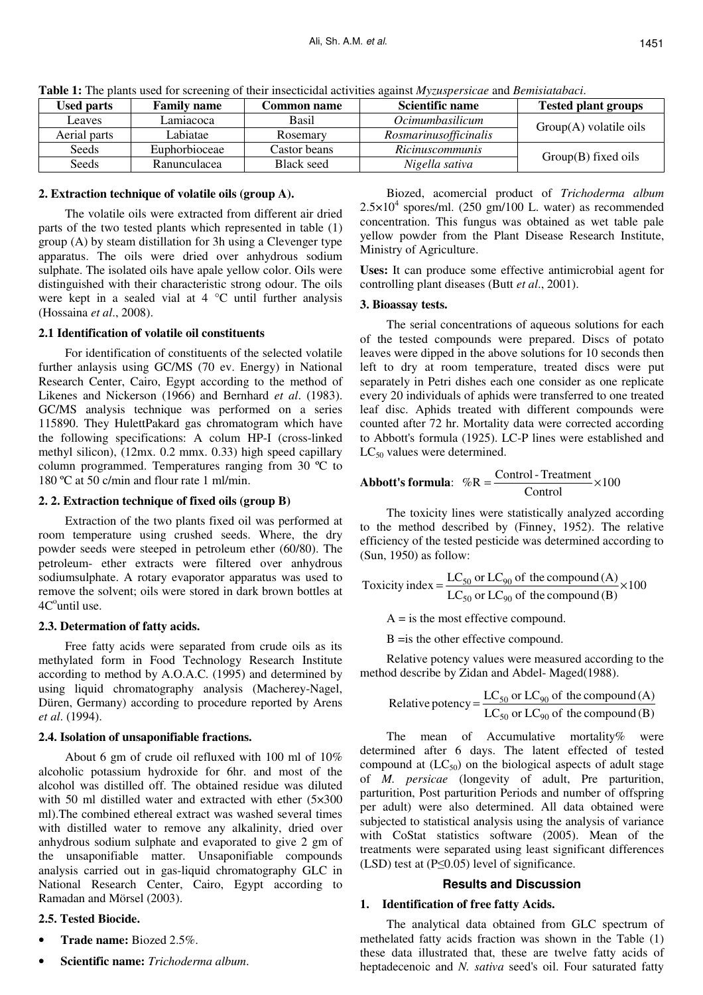| <b>TWORK IT THE PRIME WOOD TOT SCIECHING OF HIGH HISCONDAL WEITHING AGAINST HTT, CRIPPLES REAL DURING RANDOM</b> |                    |                    |                        |                            |  |  |  |  |  |  |
|------------------------------------------------------------------------------------------------------------------|--------------------|--------------------|------------------------|----------------------------|--|--|--|--|--|--|
| <b>Used parts</b>                                                                                                | <b>Family name</b> | <b>Common name</b> | Scientific name        | <b>Tested plant groups</b> |  |  |  |  |  |  |
| Leaves                                                                                                           | Lamiacoca          | Basil              | <i>Ocimumbasilicum</i> | $Group(A)$ volatile oils   |  |  |  |  |  |  |
| Aerial parts                                                                                                     | Labiatae           | Rosemary           | Rosmarinusofficinalis  |                            |  |  |  |  |  |  |
| <b>Seeds</b>                                                                                                     | Euphorbioceae      | Castor beans       | Ricinuscommunis        | $Group(B)$ fixed oils      |  |  |  |  |  |  |
| Seeds                                                                                                            | Ranunculacea       | <b>Black seed</b>  | Nigella sativa         |                            |  |  |  |  |  |  |

**Table 1:** The plants used for screening of their insecticidal activities against *Myzuspersicae* and *Bemisiatabaci*.

## **2. Extraction technique of volatile oils (group A).**

The volatile oils were extracted from different air dried parts of the two tested plants which represented in table (1) group (A) by steam distillation for 3h using a Clevenger type apparatus. The oils were dried over anhydrous sodium sulphate. The isolated oils have apale yellow color. Oils were distinguished with their characteristic strong odour. The oils were kept in a sealed vial at 4 °C until further analysis (Hossaina *et al*., 2008).

## **2.1 Identification of volatile oil constituents**

For identification of constituents of the selected volatile further anlaysis using GC/MS (70 ev. Energy) in National Research Center, Cairo, Egypt according to the method of Likenes and Nickerson (1966) and Bernhard *et al*. (1983). GC/MS analysis technique was performed on a series 115890. They HulettPakard gas chromatogram which have the following specifications: A colum HP-I (cross-linked methyl silicon), (12mx. 0.2 mmx. 0.33) high speed capillary column programmed. Temperatures ranging from 30 ºC to 180 ºC at 50 c/min and flour rate 1 ml/min.

# **2. 2. Extraction technique of fixed oils (group B)**

Extraction of the two plants fixed oil was performed at room temperature using crushed seeds. Where, the dry powder seeds were steeped in petroleum ether (60/80). The petroleum- ether extracts were filtered over anhydrous sodiumsulphate. A rotary evaporator apparatus was used to remove the solvent; oils were stored in dark brown bottles at 4C<sup>o</sup>until use.

# **2.3. Determation of fatty acids.**

Free fatty acids were separated from crude oils as its methylated form in Food Technology Research Institute according to method by A.O.A.C. (1995) and determined by using liquid chromatography analysis (Macherey-Nagel, Düren, Germany) according to procedure reported by Arens *et al*. (1994).

# **2.4. Isolation of unsaponifiable fractions.**

About 6 gm of crude oil refluxed with 100 ml of 10% alcoholic potassium hydroxide for 6hr. and most of the alcohol was distilled off. The obtained residue was diluted with 50 ml distilled water and extracted with ether (5×300) ml).The combined ethereal extract was washed several times with distilled water to remove any alkalinity, dried over anhydrous sodium sulphate and evaporated to give 2 gm of the unsaponifiable matter. Unsaponifiable compounds analysis carried out in gas-liquid chromatography GLC in National Research Center, Cairo, Egypt according to Ramadan and Mörsel (2003).

# **2.5. Tested Biocide.**

- **Trade name:** Biozed 2.5%.
- **Scientific name:** *Trichoderma album*.

Biozed, acomercial product of *Trichoderma album*  $2.5 \times 10^4$  spores/ml. (250 gm/100 L. water) as recommended concentration. This fungus was obtained as wet table pale yellow powder from the Plant Disease Research Institute, Ministry of Agriculture.

**Uses:** It can produce some effective antimicrobial agent for controlling plant diseases (Butt *et al*., 2001).

# **3. Bioassay tests.**

The serial concentrations of aqueous solutions for each of the tested compounds were prepared. Discs of potato leaves were dipped in the above solutions for 10 seconds then left to dry at room temperature, treated discs were put separately in Petri dishes each one consider as one replicate every 20 individuals of aphids were transferred to one treated leaf disc. Aphids treated with different compounds were counted after 72 hr. Mortality data were corrected according to Abbott's formula (1925). LC-P lines were established and  $LC_{50}$  values were determined.

**Abbott's formula:**  $%R = \frac{\text{control} \cdot \text{median}}{\text{Control}} \times 100$  $\%R = \frac{Control - Treatment}{Q} \times$ 

The toxicity lines were statistically analyzed according to the method described by (Finney, 1952). The relative efficiency of the tested pesticide was determined according to (Sun, 1950) as follow:

Toxicity index = 
$$
\frac{LC_{50} \text{ or } LC_{90} \text{ of the compound (A)}}{LC_{50} \text{ or } LC_{90} \text{ of the compound (B)}} \times 100
$$

 $A = iS$  the most effective compound. B =is the other effective compound.

Relative potency values were measured according to the method describe by Zidan and Abdel- Maged(1988).

Relative potency = 
$$
\frac{LC_{50} \text{ or } LC_{90} \text{ of the compound (A)}}{LC_{50} \text{ or } LC_{90} \text{ of the compound (B)}}
$$

The mean of Accumulative mortality% were determined after 6 days. The latent effected of tested compound at  $(LC_{50})$  on the biological aspects of adult stage of *M. persicae* (longevity of adult, Pre parturition, parturition, Post parturition Periods and number of offspring per adult) were also determined. All data obtained were subjected to statistical analysis using the analysis of variance with CoStat statistics software (2005). Mean of the treatments were separated using least significant differences (LSD) test at (P≤0.05) level of significance.

# **Results and Discussion**

# **1. Identification of free fatty Acids.**

The analytical data obtained from GLC spectrum of methelated fatty acids fraction was shown in the Table (1) these data illustrated that, these are twelve fatty acids of heptadecenoic and *N. sativa* seed's oil. Four saturated fatty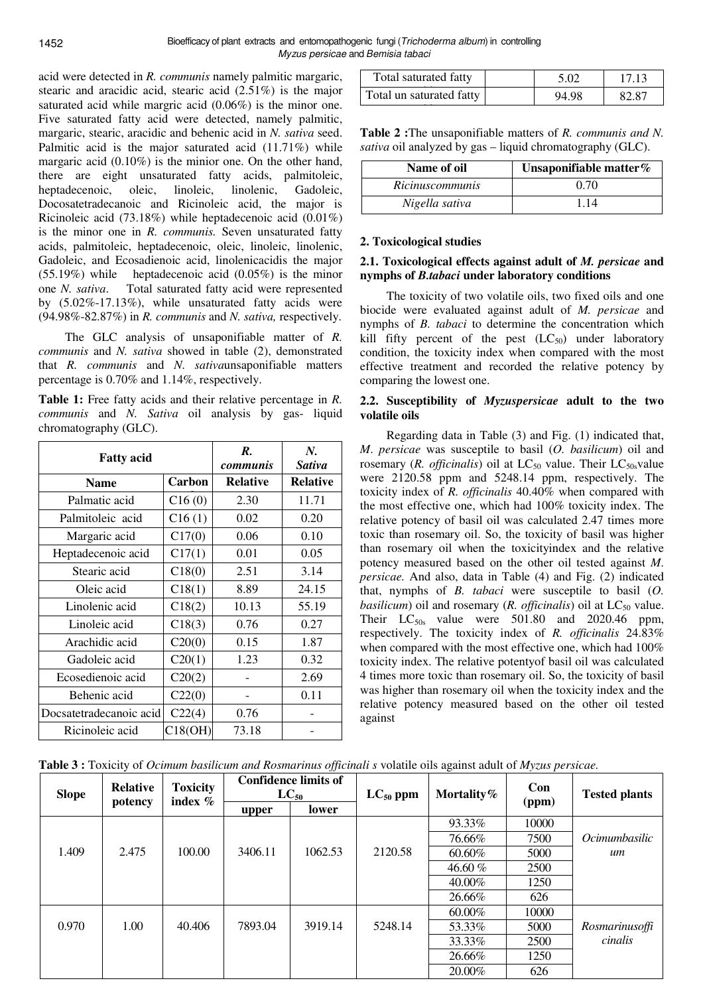acid were detected in *R. communis* namely palmitic margaric, stearic and aracidic acid, stearic acid (2.51%) is the major saturated acid while margric acid (0.06%) is the minor one. Five saturated fatty acid were detected, namely palmitic, margaric, stearic, aracidic and behenic acid in *N. sativa* seed. Palmitic acid is the major saturated acid (11.71%) while margaric acid  $(0.10\%)$  is the minior one. On the other hand, there are eight unsaturated fatty acids, palmitoleic, heptadecenoic, oleic, linoleic, linolenic, Gadoleic, Docosatetradecanoic and Ricinoleic acid, the major is Ricinoleic acid (73.18%) while heptadecenoic acid (0.01%) is the minor one in *R. communis.* Seven unsaturated fatty acids, palmitoleic, heptadecenoic, oleic, linoleic, linolenic, Gadoleic, and Ecosadienoic acid, linolenicacidis the major (55.19%) while heptadecenoic acid (0.05%) is the minor one *N. sativa*. Total saturated fatty acid were represented by (5.02%-17.13%), while unsaturated fatty acids were (94.98%-82.87%) in *R. communis* and *N. sativa,* respectively.

The GLC analysis of unsaponifiable matter of *R. communis* and *N. sativa* showed in table (2), demonstrated that *R. communis* and *N*. *sativa*unsaponifiable matters percentage is 0.70% and 1.14%, respectively.

**Table 1:** Free fatty acids and their relative percentage in *R. communis* and *N. Sativa* oil analysis by gas- liquid chromatography (GLC).

| <b>Fatty acid</b>       |         | R.<br><i>communis</i> | N.<br>Sativa    |
|-------------------------|---------|-----------------------|-----------------|
| <b>Name</b>             | Carbon  | <b>Relative</b>       | <b>Relative</b> |
| Palmatic acid           | C16(0)  | 2.30                  | 11.71           |
| Palmitoleic acid        | C16(1)  | 0.02                  | 0.20            |
| Margaric acid           | C17(0)  | 0.06                  | 0.10            |
| Heptadecenoic acid      | C17(1)  | 0.01                  | 0.05            |
| Stearic acid            | C18(0)  | 2.51                  | 3.14            |
| Oleic acid              | C18(1)  | 8.89                  | 24.15           |
| Linolenic acid          | C18(2)  | 10.13                 | 55.19           |
| Linoleic acid           | C18(3)  | 0.76                  | 0.27            |
| Arachidic acid          | C20(0)  | 0.15                  | 1.87            |
| Gadoleic acid           | C20(1)  | 1.23                  | 0.32            |
| Ecosedienoic acid       | C20(2)  |                       | 2.69            |
| Behenic acid            | C22(0)  |                       | 0.11            |
| Docsatetradecanoic acid | C22(4)  | 0.76                  |                 |
| Ricinoleic acid         | C18(OH) | 73.18                 |                 |

| Total saturated fatty    | 5.02  | 17.13 |
|--------------------------|-------|-------|
| Total un saturated fatty | 94.98 | 82.87 |
|                          |       |       |

**Table 2 :**The unsaponifiable matters of *R. communis and N. sativa* oil analyzed by gas – liquid chromatography (GLC).

| Name of oil            | Unsaponifiable matter% |
|------------------------|------------------------|
| <i>Ricinuscommunis</i> | 0.70                   |
| Nigella sativa         | 114                    |

### **2. Toxicological studies**

#### **2.1. Toxicological effects against adult of** *M. persicae* **and nymphs of** *B.tabaci* **under laboratory conditions**

The toxicity of two volatile oils, two fixed oils and one biocide were evaluated against adult of *M. persicae* and nymphs of *B. tabaci* to determine the concentration which kill fifty percent of the pest  $(LC_{50})$  under laboratory condition, the toxicity index when compared with the most effective treatment and recorded the relative potency by comparing the lowest one.

### **2.2. Susceptibility of** *Myzuspersicae* **adult to the two volatile oils**

Regarding data in Table (3) and Fig. (1) indicated that, *M*. *persicae* was susceptile to basil (*O. basilicum*) oil and rosemary (*R. officinalis*) oil at  $LC_{50}$  value. Their  $LC_{50s}$ value were 2120.58 ppm and 5248.14 ppm, respectively. The toxicity index of *R. officinalis* 40.40% when compared with the most effective one, which had 100% toxicity index. The relative potency of basil oil was calculated 2.47 times more toxic than rosemary oil. So, the toxicity of basil was higher than rosemary oil when the toxicityindex and the relative potency measured based on the other oil tested against *M*. *persicae.* And also, data in Table (4) and Fig. (2) indicated that, nymphs of *B. tabaci* were susceptile to basil (*O. basilicum*) oil and rosemary  $(R.$  *officinalis*) oil at  $LC_{50}$  value. Their  $LC_{50s}$  value were 501.80 and 2020.46 ppm, respectively. The toxicity index of *R. officinalis* 24.83% when compared with the most effective one, which had 100% toxicity index. The relative potentyof basil oil was calculated 4 times more toxic than rosemary oil. So, the toxicity of basil was higher than rosemary oil when the toxicity index and the relative potency measured based on the other oil tested against

**Table 3 :** Toxicity of *Ocimum basilicum and Rosmarinus officinali s* volatile oils against adult of *Myzus persicae.* 

| <b>Slope</b> | <b>Relative</b><br>potency | <b>Toxicity</b><br>index $\%$ | <b>Confidence limits of</b><br>$LC_{50}$ |         | $LC_{50}$ ppm | Mortality $%$ | Con   | <b>Tested plants</b> |
|--------------|----------------------------|-------------------------------|------------------------------------------|---------|---------------|---------------|-------|----------------------|
|              |                            |                               | upper                                    | lower   |               |               | (ppm) |                      |
|              |                            |                               |                                          |         |               | 93.33%        | 10000 |                      |
|              |                            |                               |                                          |         |               | 76.66%        | 7500  | Ocimumbasilic        |
| 1.409        | 2.475                      | 100.00                        | 3406.11                                  | 1062.53 | 2120.58       | 60.60%        | 5000  | um                   |
|              |                            |                               |                                          |         |               | $46.60\%$     | 2500  |                      |
|              |                            |                               |                                          |         |               | 40.00%        | 1250  |                      |
|              |                            |                               |                                          |         |               | 26.66%        | 626   |                      |
|              |                            |                               |                                          |         |               | 60.00%        | 10000 |                      |
| 0.970        | 1.00                       | 40.406                        | 7893.04                                  | 3919.14 | 5248.14       | 53.33%        | 5000  | Rosmarinusoffi       |
|              |                            |                               |                                          |         |               | 33.33%        | 2500  | cinalis              |
|              |                            |                               |                                          |         |               | 26.66%        | 1250  |                      |
|              |                            |                               |                                          |         |               | 20.00%        | 626   |                      |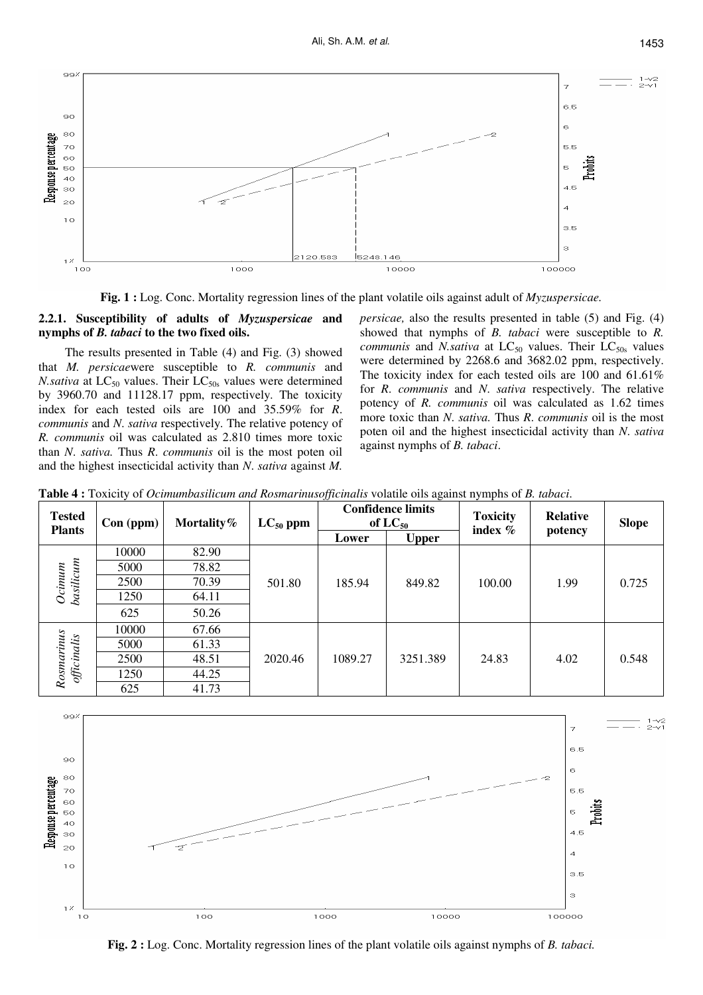

**Fig. 1 :** Log. Conc. Mortality regression lines of the plant volatile oils against adult of *Myzuspersicae.* 

### **2.2.1. Susceptibility of adults of** *Myzuspersicae* **and nymphs of** *B. tabaci* **to the two fixed oils.**

The results presented in Table (4) and Fig. (3) showed that *M. persicae*were susceptible to *R. communis* and *N.sativa* at LC<sub>50</sub> values. Their LC<sub>50s</sub> values were determined by 3960.70 and 11128.17 ppm, respectively. The toxicity index for each tested oils are 100 and 35.59% for *R*. *communis* and *N*. *sativa* respectively. The relative potency of *R. communis* oil was calculated as 2.810 times more toxic than *N*. *sativa.* Thus *R*. *communis* oil is the most poten oil and the highest insecticidal activity than *N*. *sativa* against *M.*  *persicae,* also the results presented in table (5) and Fig. (4) showed that nymphs of *B. tabaci* were susceptible to *R. communis* and *N.sativa* at  $LC_{50}$  values. Their  $LC_{50s}$  values were determined by 2268.6 and 3682.02 ppm, respectively. The toxicity index for each tested oils are 100 and 61.61% for *R*. *communis* and *N*. *sativa* respectively. The relative potency of *R. communis* oil was calculated as 1.62 times more toxic than *N*. *sativa.* Thus *R*. *communis* oil is the most poten oil and the highest insecticidal activity than *N*. *sativa* against nymphs of *B. tabaci*.

| <b>Tested</b>             | $Con$ (ppm) | Mortality $%$ | $LC_{50}$ ppm | <b>Confidence limits</b><br>of $LC_{50}$ |              | <b>Toxicity</b> | <b>Relative</b> | <b>Slope</b> |
|---------------------------|-------------|---------------|---------------|------------------------------------------|--------------|-----------------|-----------------|--------------|
| <b>Plants</b>             |             |               |               | Lower                                    | <b>Upper</b> | index $%$       | potency         |              |
|                           | 10000       | 82.90         |               |                                          |              |                 |                 |              |
|                           | 5000        | 78.82         |               |                                          |              |                 |                 |              |
|                           | 2500        | 70.39         | 501.80        | 185.94                                   | 849.82       | 100.00          | 1.99            | 0.725        |
| basilicum<br>$Oc$ inum    | 1250        | 64.11         |               |                                          |              |                 |                 |              |
|                           | 625         | 50.26         |               |                                          |              |                 |                 |              |
|                           | 10000       | 67.66         |               |                                          |              |                 |                 |              |
|                           | 5000        | 61.33         |               |                                          |              |                 |                 |              |
|                           | 2500        | 48.51         | 2020.46       | 1089.27                                  | 3251.389     | 24.83           | 4.02            | 0.548        |
| Rosmarinus<br>officinalis | 1250        | 44.25         |               |                                          |              |                 |                 |              |
|                           | 625         | 41.73         |               |                                          |              |                 |                 |              |



**Fig. 2 :** Log. Conc. Mortality regression lines of the plant volatile oils against nymphs of *B. tabaci.*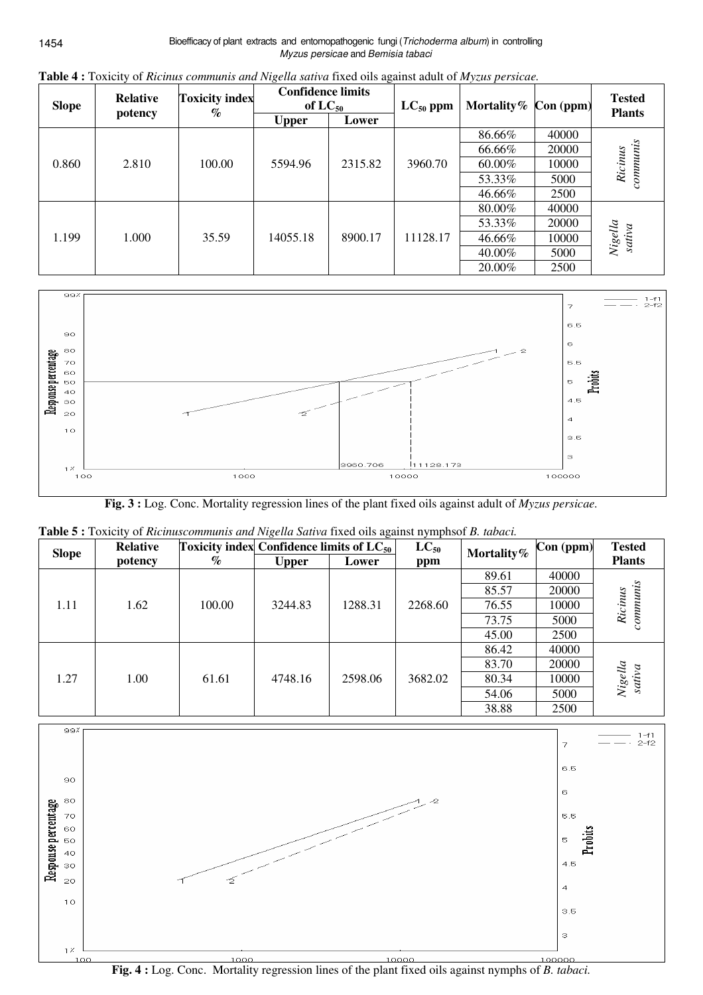| <b>Slope</b> | <b>Relative</b> | <b>Toxicity index</b><br>$\%$ | <b>Confidence limits</b><br>of $LC_{50}$ |         | $LC_{50}$ ppm | Mortality $%$ | $Con$ (ppm) | <b>Tested</b><br><b>Plants</b> |
|--------------|-----------------|-------------------------------|------------------------------------------|---------|---------------|---------------|-------------|--------------------------------|
|              | potency         |                               | <b>Upper</b>                             | Lower   |               |               |             |                                |
|              |                 |                               |                                          |         |               | 86.66%        | 40000       |                                |
|              |                 |                               |                                          |         |               | 66.66%        | 20000       |                                |
| 0.860        | 2.810           | 100.00                        | 5594.96                                  | 2315.82 | 3960.70       | 60.00%        | 10000       | commnuis<br>Ricinus            |
|              |                 |                               |                                          |         |               | 53.33%        | 5000        |                                |
|              |                 |                               |                                          |         |               | 46.66%        | 2500        |                                |
|              |                 | 35.59                         |                                          | 8900.17 | 11128.17      | 80.00%        | 40000       |                                |
|              |                 |                               |                                          |         |               | 53.33%        | 20000       |                                |
| 1.199        | 1.000           |                               | 14055.18                                 |         |               | 46.66%        | 10000       | Nigella<br>sativa              |
|              |                 |                               |                                          |         |               | 40.00%        | 5000        |                                |
|              |                 |                               |                                          |         |               | 20.00%        | 2500        |                                |

**Table 4 :** Toxicity of *Ricinus communis and Nigella sativa* fixed oils against adult of *Myzus persicae.* 



**Fig. 3 :** Log. Conc. Mortality regression lines of the plant fixed oils against adult of *Myzus persicae.* 

| <b>Slope</b> | <b>Relative</b> | Toxicity index Confidence limits of $LC_{50}$ |              |         | $LC_{50}$ | Mortality% | $Con$ (ppm) | <b>Tested</b>     |
|--------------|-----------------|-----------------------------------------------|--------------|---------|-----------|------------|-------------|-------------------|
|              | potency         | $\%$                                          | <b>Upper</b> | Lower   | ppm       |            |             | <b>Plants</b>     |
|              |                 |                                               |              |         |           | 89.61      | 40000       |                   |
|              |                 |                                               |              |         |           | 85.57      | 20000       |                   |
| 1.11         | 1.62            | 100.00                                        | 3244.83      | 1288.31 | 2268.60   | 76.55      | 10000       | Ricinus           |
|              |                 |                                               |              |         |           | 73.75      | 5000        |                   |
|              |                 |                                               |              |         |           | 45.00      | 2500        |                   |
|              |                 |                                               |              | 2598.06 |           | 86.42      | 40000       |                   |
|              |                 |                                               |              |         |           | 83.70      | 20000       |                   |
| 1.27         | 1.00            | 61.61                                         | 4748.16      |         | 3682.02   | 80.34      | 10000       | Nigella<br>sativa |
|              |                 |                                               |              |         |           | 54.06      | 5000        |                   |
|              |                 |                                               |              |         |           | 38.88      | 2500        |                   |

|  | Table 5 : Toxicity of Ricinuscommunis and Nigella Sativa fixed oils against nymphsof B. tabaci. |
|--|-------------------------------------------------------------------------------------------------|
|  |                                                                                                 |



**Fig. 4 :** Log. Conc. Mortality regression lines of the plant fixed oils against nymphs of *B. tabaci.*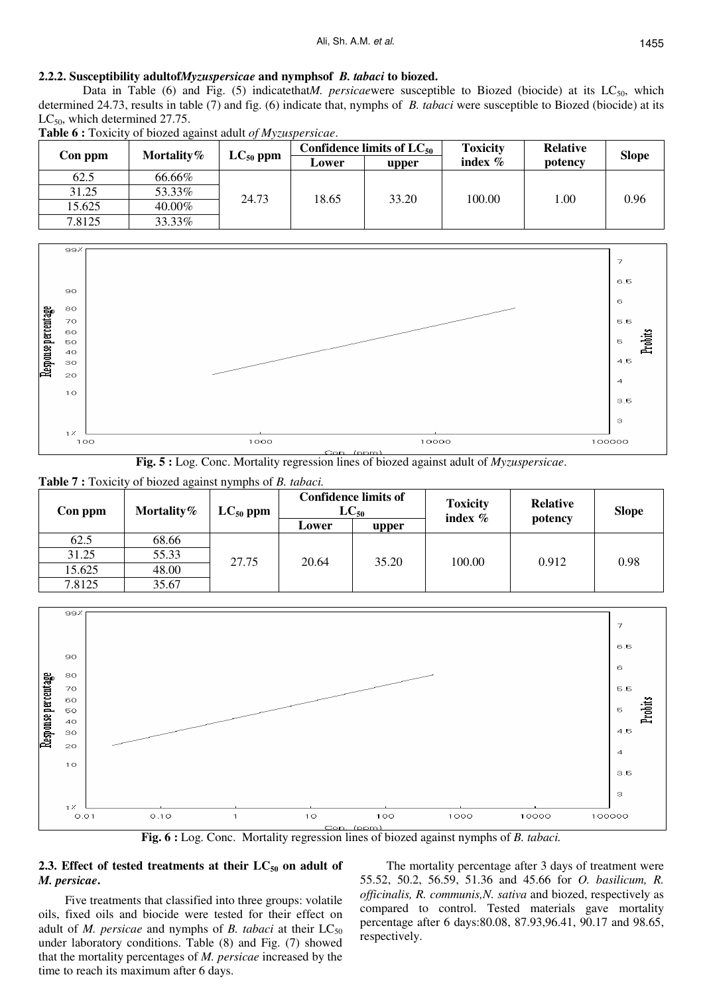#### **2.2.2. Susceptibility adultof***Myzuspersicae* **and nymphsof** *B. tabaci* **to biozed.**

Data in Table (6) and Fig. (5) indicatethat*M. persicaewere* susceptible to Biozed (biocide) at its LC<sub>50</sub>, which determined 24.73, results in table (7) and fig. (6) indicate that, nymphs of *B. tabaci* were susceptible to Biozed (biocide) at its  $LC_{50}$ , which determined 27.75.

| Con ppm | Mortality $%$ | $LC_{50}$ ppm | Confidence limits of $LC_{50}$ |       | <b>Toxicity</b> | <b>Relative</b> | <b>Slope</b> |
|---------|---------------|---------------|--------------------------------|-------|-----------------|-----------------|--------------|
|         |               |               | Lower                          | upper | index $%$       | potency         |              |
| 62.5    | 66.66%        |               |                                |       |                 |                 |              |
| 31.25   | 53.33%        | 24.73         |                                | 33.20 | 100.00          | 1.00            | 0.96         |
| 15.625  | 40.00%        |               | 18.65                          |       |                 |                 |              |
| 7.8125  | 33.33%        |               |                                |       |                 |                 |              |







**Table 7 :** Toxicity of biozed against nymphs of *B. tabaci.* 

| Con ppm | Mortality $%$ | $LC_{50}$ ppm |       | <b>Confidence limits of</b><br>$LC_{50}$ | <b>Toxicity</b><br>index % | Relative | <b>Slope</b> |
|---------|---------------|---------------|-------|------------------------------------------|----------------------------|----------|--------------|
|         |               |               | Lower | upper                                    |                            | potency  |              |
| 62.5    | 68.66         |               | 20.64 | 35.20                                    | 100.00                     | 0.912    | 0.98         |
| 31.25   | 55.33         |               |       |                                          |                            |          |              |
| 15.625  | 48.00         | 27.75         |       |                                          |                            |          |              |
| 7.8125  | 35.67         |               |       |                                          |                            |          |              |



**Fig. 6 :** Log. Conc. Mortality regression lines of biozed against nymphs of *B. tabaci.*

## **2.3. Effect of tested treatments at their LC50 on adult of** *M. persicae***.**

Five treatments that classified into three groups: volatile oils, fixed oils and biocide were tested for their effect on adult of *M. persicae* and nymphs of *B. tabaci* at their LC<sub>50</sub> under laboratory conditions. Table (8) and Fig. (7) showed that the mortality percentages of *M. persicae* increased by the time to reach its maximum after 6 days.

The mortality percentage after 3 days of treatment were 55.52, 50.2, 56.59, 51.36 and 45.66 for *O. basilicum, R. officinalis, R. communis,N. sativa* and biozed, respectively as compared to control. Tested materials gave mortality percentage after 6 days:80.08, 87.93,96.41, 90.17 and 98.65, respectively.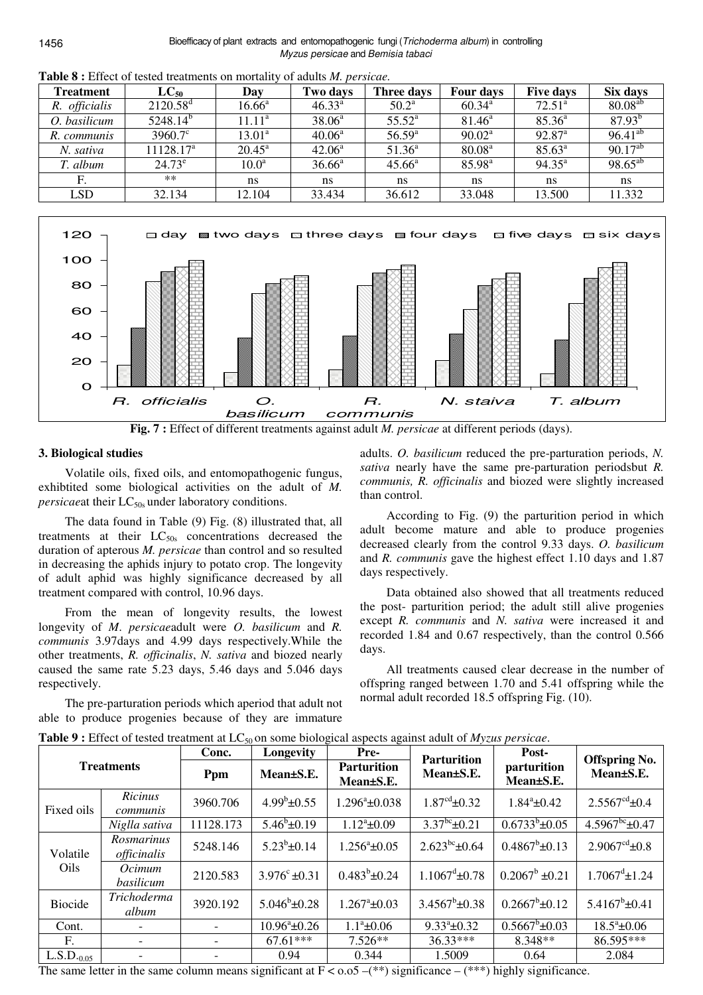| <b>Treatment</b> | $LC_{50}$             | Day                  | Two days           | Three days      | Four days          | <b>Five days</b>   | Six days     |
|------------------|-----------------------|----------------------|--------------------|-----------------|--------------------|--------------------|--------------|
| R. officialis    | $2120.58^{\rm d}$     | $16.66^{\mathrm{a}}$ | $46.33^{\circ}$    | $50.2^{\rm a}$  | $60.34^{\rm a}$    | $72.51^{\circ}$    | $80.08^{ab}$ |
| O. basilicum     | $5248.14^{b}$         | $11.11^a$            | 38.06 <sup>a</sup> | $55.52^{\circ}$ | $81.46^{\circ}$    | $85.36^{a}$        | $87.93^{b}$  |
| R. communis      | $3960.7^{\circ}$      | $13.01^{\rm a}$      | $40.06^a$          | $56.59^{\rm a}$ | $90.02^a$          | $92.87^{\text{a}}$ | $96.41^{ab}$ |
| N. sativa        | 11128.17 <sup>a</sup> | $20.45^{\rm a}$      | $42.06^{\circ}$    | $51.36^a$       | 80.08 <sup>a</sup> | $85.63^{\circ}$    | $90.17^{ab}$ |
| T. album         | $24.73^{\circ}$       | 10.0 <sup>a</sup>    | $36.66^a$          | $45.66^{\rm a}$ | $85.98^{a}$        | $94.35^{\circ}$    | $98.65^{ab}$ |
| F.               | $**$                  | ns                   | ns                 | ns              | ns                 | ns                 | ns           |
| <b>LSD</b>       | 32.134                | 12.104               | 33.434             | 36.612          | 33.048             | 13.500             | 11.332       |

**Table 8 :** Effect of tested treatments on mortality of adults *M. persicae.* 





### **3. Biological studies**

Volatile oils, fixed oils, and entomopathogenic fungus, exhibtited some biological activities on the adult of *M. persicaeat their* LC<sub>50s</sub> under laboratory conditions.

The data found in Table (9) Fig. (8) illustrated that, all treatments at their  $LC_{50s}$  concentrations decreased the duration of apterous *M. persicae* than control and so resulted in decreasing the aphids injury to potato crop. The longevity of adult aphid was highly significance decreased by all treatment compared with control, 10.96 days.

From the mean of longevity results, the lowest longevity of *M*. *persicae*adult were *O. basilicum* and *R. communis* 3.97days and 4.99 days respectively.While the other treatments, *R. officinalis*, *N. sativa* and biozed nearly caused the same rate 5.23 days, 5.46 days and 5.046 days respectively.

The pre-parturation periods which aperiod that adult not able to produce progenies because of they are immature

adults. *O. basilicum* reduced the pre-parturation periods, *N. sativa* nearly have the same pre-parturation periodsbut *R. communis, R. officinalis* and biozed were slightly increased than control.

According to Fig. (9) the parturition period in which adult become mature and able to produce progenies decreased clearly from the control 9.33 days. *O. basilicum* and *R. communis* gave the highest effect 1.10 days and 1.87 days respectively.

Data obtained also showed that all treatments reduced the post- parturition period; the adult still alive progenies except *R. communis* and *N. sativa* were increased it and recorded 1.84 and 0.67 respectively, than the control 0.566 days.

All treatments caused clear decrease in the number of offspring ranged between 1.70 and 5.41 offspring while the normal adult recorded 18.5 offspring Fig. (10).

| <b>Treatments</b> |                           | Conc.     | Longevity<br>Pre-        |                                 | <b>Parturition</b>           | Post-                    |                                   |
|-------------------|---------------------------|-----------|--------------------------|---------------------------------|------------------------------|--------------------------|-----------------------------------|
|                   |                           | Ppm       | Mean±S.E.                | <b>Parturition</b><br>Mean±S.E. | Mean±S.E.                    | parturition<br>Mean±S.E. | <b>Offspring No.</b><br>Mean±S.E. |
| Fixed oils        | Ricinus<br>communis       | 3960.706  | $4.99^b$ ±0.55           | $1.296^{\circ}$ ±0.038          | $1.87^{\text{cd}}$ ±0.32     | $1.84^{\circ}$ ±0.42     | $2.5567^{\text{cd}}$ ±0.4         |
|                   | Niglla sativa             | 11128.173 | $5.46^b \pm 0.19$        | $1.12^{\circ}$ ±0.09            | $3.37^{bc}$ ±0.21            | $0.6733^{b}$ ±0.05       | $4.5967^{bc}$ ±0.47               |
| Volatile<br>Oils  | Rosmarinus<br>officinalis | 5248.146  | $5.23^b \pm 0.14$        | $1.256^a \pm 0.05$              | $2.623^{bc}$ ±0.64           | $0.4867^b \pm 0.13$      | $2.9067cd \pm 0.8$                |
|                   | Ocimum<br>basilicum       | 2120.583  | $3.976^{\circ} \pm 0.31$ | $0.483^b \pm 0.24$              | $1.1067^{\mathrm{d}}\pm0.78$ | $0.2067^b \pm 0.21$      | $1.7067^{\mathrm{d}}$ ±1.24       |
| <b>Biocide</b>    | Trichoderma<br>album      | 3920.192  | $5.046^b \pm 0.28$       | $1.267^{\circ}$ ±0.03           | $3.4567^b \pm 0.38$          | $0.2667^b \pm 0.12$      | $5.4167^b \pm 0.41$               |
| Cont.             |                           |           | $10.96^{\circ}$ ±0.26    | $1.1^a \pm 0.06$                | $9.33^{\circ}$ ±0.32         | $0.5667^{b} \pm 0.03$    | $18.5^{\circ}$ ±0.06              |
| F.                |                           |           | $67.61***$               | $7.526**$                       | $36.33***$                   | 8.348**                  | 86.595***                         |
| $L.S.D._{0.05}$   |                           |           | 0.94                     | 0.344                           | 1.5009                       | 0.64                     | 2.084                             |

**Table 9 :** Effect of tested treatment at LC<sub>50</sub> on some biological aspects against adult of *Myzus persicae*.

The same letter in the same column means significant at  $F < 0.05$  –(\*\*) significance – (\*\*\*) highly significance.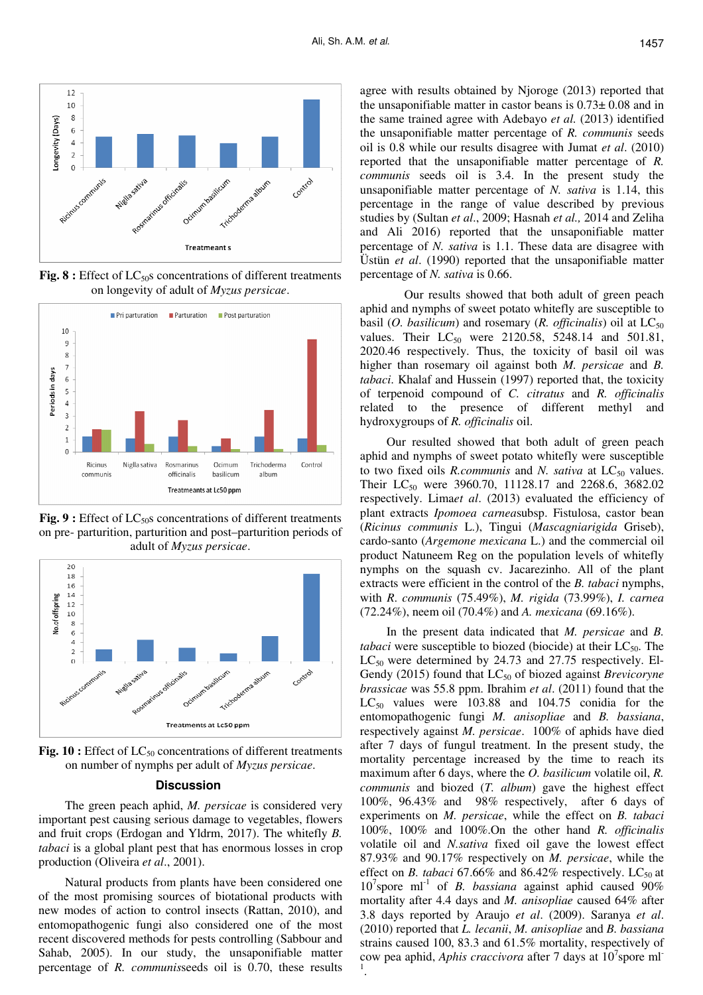

Fig. 8 : Effect of LC<sub>50</sub>s concentrations of different treatments on longevity of adult of *Myzus persicae*.



Fig. 9 : Effect of LC<sub>50</sub>s concentrations of different treatments on pre- parturition, parturition and post–parturition periods of adult of *Myzus persicae*.



**Fig. 10 :** Effect of LC<sub>50</sub> concentrations of different treatments on number of nymphs per adult of *Myzus persicae*.

#### **Discussion**

The green peach aphid, *M. persicae* is considered very important pest causing serious damage to vegetables, flowers and fruit crops (Erdogan and Yldrm, 2017). The whitefly *B. tabaci* is a global plant pest that has enormous losses in crop production (Oliveira *et al*., 2001).

Natural products from plants have been considered one of the most promising sources of biotational products with new modes of action to control insects (Rattan, 2010), and entomopathogenic fungi also considered one of the most recent discovered methods for pests controlling (Sabbour and Sahab, 2005). In our study, the unsaponifiable matter percentage of *R. communis*seeds oil is 0.70, these results

agree with results obtained by Njoroge (2013) reported that the unsaponifiable matter in castor beans is 0.73± 0.08 and in the same trained agree with Adebayo *et al.* (2013) identified the unsaponifiable matter percentage of *R. communis* seeds oil is 0.8 while our results disagree with Jumat *et al*. (2010) reported that the unsaponifiable matter percentage of *R. communis* seeds oil is 3.4. In the present study the unsaponifiable matter percentage of *N. sativa* is 1.14, this percentage in the range of value described by previous studies by (Sultan *et al*., 2009; Hasnah *et al.,* 2014 and Zeliha and Ali 2016) reported that the unsaponifiable matter percentage of *N. sativa* is 1.1. These data are disagree with Üstün *et al*. (1990) reported that the unsaponifiable matter percentage of *N. sativa* is 0.66.

 Our results showed that both adult of green peach aphid and nymphs of sweet potato whitefly are susceptible to basil (*O. basilicum*) and rosemary (*R. officinalis*) oil at  $LC_{50}$ values. Their  $LC_{50}$  were 2120.58, 5248.14 and 501.81, 2020.46 respectively. Thus, the toxicity of basil oil was higher than rosemary oil against both *M. persicae* and *B. tabaci*. Khalaf and Hussein (1997) reported that, the toxicity of terpenoid compound of *C. citratus* and *R. officinalis* related to the presence of different methyl and hydroxygroups of *R. officinalis* oil.

Our resulted showed that both adult of green peach aphid and nymphs of sweet potato whitefly were susceptible to two fixed oils *R.communis* and *N. sativa* at LC<sub>50</sub> values. Their  $LC_{50}$  were 3960.70, 11128.17 and 2268.6, 3682.02 respectively. Lima*et al*. (2013) evaluated the efficiency of plant extracts *Ipomoea carnea*subsp. Fistulosa, castor bean (*Ricinus communis* L.), Tingui (*Mascagniarigida* Griseb), cardo-santo (*Argemone mexicana* L.) and the commercial oil product Natuneem Reg on the population levels of whitefly nymphs on the squash cv. Jacarezinho. All of the plant extracts were efficient in the control of the *B. tabaci* nymphs, with *R*. *communis* (75.49%), *M. rigida* (73.99%), *I. carnea* (72.24%), neem oil (70.4%) and *A. mexicana* (69.16%).

In the present data indicated that *M. persicae* and *B. tabaci* were susceptible to biozed (biocide) at their  $LC_{50}$ . The  $LC_{50}$  were determined by 24.73 and 27.75 respectively. El-Gendy (2015) found that LC<sub>50</sub> of biozed against *Brevicoryne brassicae* was 55.8 ppm. Ibrahim *et al*. (2011) found that the  $LC_{50}$  values were 103.88 and 104.75 conidia for the entomopathogenic fungi *M. anisopliae* and *B. bassiana*, respectively against *M. persicae*. 100% of aphids have died after 7 days of fungul treatment. In the present study, the mortality percentage increased by the time to reach its maximum after 6 days, where the *O. basilicum* volatile oil, *R. communis* and biozed (*T. album*) gave the highest effect 100%, 96.43% and 98% respectively, after 6 days of experiments on *M. persicae*, while the effect on *B. tabaci* 100%, 100% and 100%.On the other hand *R. officinalis* volatile oil and *N.sativa* fixed oil gave the lowest effect 87.93% and 90.17% respectively on *M. persicae*, while the effect on *B. tabaci* 67.66% and 86.42% respectively. LC<sub>50</sub> at 10<sup>7</sup> spore ml<sup>-1</sup> of *B. bassiana* against aphid caused 90% mortality after 4.4 days and *M. anisopliae* caused 64% after 3.8 days reported by Araujo *et al*. (2009). Saranya *et al*. (2010) reported that *L. lecanii*, *M. anisopliae* and *B. bassiana* strains caused 100, 83.3 and 61.5% mortality, respectively of cow pea aphid, *Aphis craccivora* after 7 days at 10<sup>7</sup> spore ml-1 .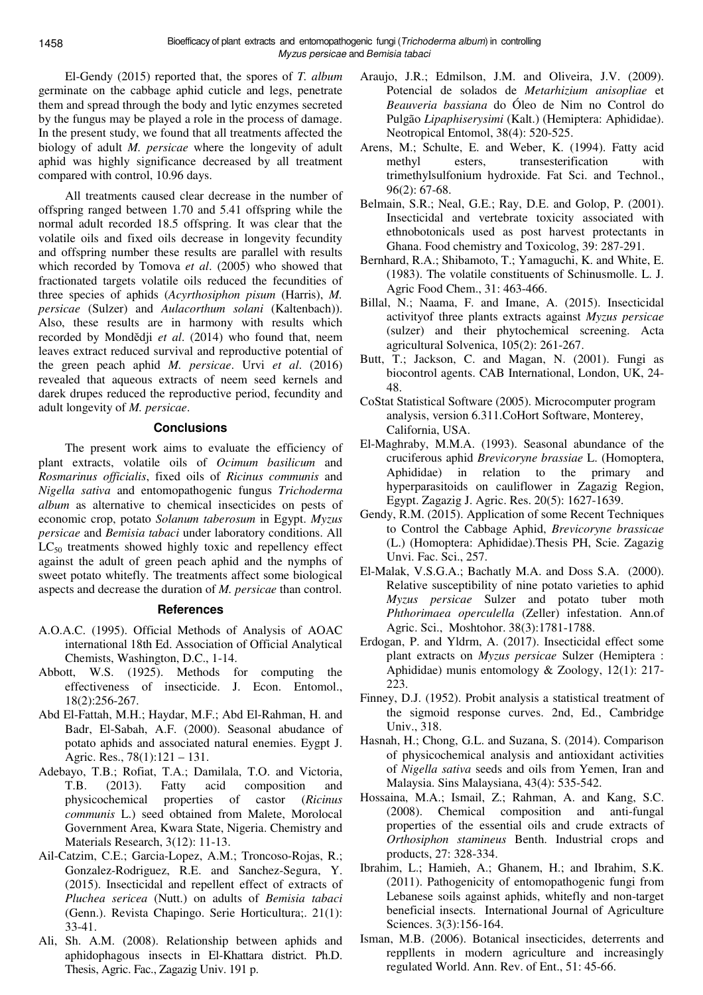El-Gendy (2015) reported that, the spores of *T. album* germinate on the cabbage aphid cuticle and legs, penetrate them and spread through the body and lytic enzymes secreted by the fungus may be played a role in the process of damage. In the present study, we found that all treatments affected the biology of adult *M. persicae* where the longevity of adult aphid was highly significance decreased by all treatment compared with control, 10.96 days.

All treatments caused clear decrease in the number of offspring ranged between 1.70 and 5.41 offspring while the normal adult recorded 18.5 offspring. It was clear that the volatile oils and fixed oils decrease in longevity fecundity and offspring number these results are parallel with results which recorded by Tomova *et al*. (2005) who showed that fractionated targets volatile oils reduced the fecundities of three species of aphids (*Acyrthosiphon pisum* (Harris), *M. persicae* (Sulzer) and *Aulacorthum solani* (Kaltenbach)). Also, these results are in harmony with results which recorded by Mondĕdji *et al*. (2014) who found that, neem leaves extract reduced survival and reproductive potential of the green peach aphid *M. persicae*. Urvi *et al*. (2016) revealed that aqueous extracts of neem seed kernels and darek drupes reduced the reproductive period, fecundity and adult longevity of *M. persicae*.

### **Conclusions**

The present work aims to evaluate the efficiency of plant extracts, volatile oils of *Ocimum basilicum* and *Rosmarinus officialis*, fixed oils of *Ricinus communis* and *Nigella sativa* and entomopathogenic fungus *Trichoderma album* as alternative to chemical insecticides on pests of economic crop, potato *Solanum taberosum* in Egypt. *Myzus persicae* and *Bemisia tabaci* under laboratory conditions. All  $LC_{50}$  treatments showed highly toxic and repellency effect against the adult of green peach aphid and the nymphs of sweet potato whitefly. The treatments affect some biological aspects and decrease the duration of *M. persicae* than control.

### **References**

- A.O.A.C. (1995). Official Methods of Analysis of AOAC international 18th Ed. Association of Official Analytical Chemists, Washington, D.C., 1-14.
- Abbott, W.S. (1925). Methods for computing the effectiveness of insecticide. J. Econ. Entomol., 18(2):256-267.
- Abd El-Fattah, M.H.; Haydar, M.F.; Abd El-Rahman, H. and Badr, El-Sabah, A.F. (2000). Seasonal abudance of potato aphids and associated natural enemies. Eygpt J. Agric. Res., 78(1):121 – 131.
- Adebayo, T.B.; Rofiat, T.A.; Damilala, T.O. and Victoria, T.B. (2013). Fatty acid composition and physicochemical properties of castor (*Ricinus communis* L.) seed obtained from Malete, Morolocal Government Area, Kwara State, Nigeria. Chemistry and Materials Research, 3(12): 11-13.
- Ail-Catzim, C.E.; Garcia-Lopez, A.M.; Troncoso-Rojas, R.; Gonzalez-Rodriguez, R.E. and Sanchez-Segura, Y. (2015). Insecticidal and repellent effect of extracts of *Pluchea sericea* (Nutt.) on adults of *Bemisia tabaci* (Genn.). Revista Chapingo. Serie Horticultura;. 21(1): 33-41.
- Ali, Sh. A.M. (2008). Relationship between aphids and aphidophagous insects in El-Khattara district. Ph.D. Thesis, Agric. Fac., Zagazig Univ. 191 p.
- Araujo, J.R.; Edmilson, J.M. and Oliveira, J.V. (2009). Potencial de solados de *Metarhizium anisopliae* et *Beauveria bassiana* do Óleo de Nim no Control do Pulgão *Lipaphiserysimi* (Kalt.) (Hemiptera: Aphididae). Neotropical Entomol, 38(4): 520-525.
- Arens, M.; Schulte, E. and Weber, K. (1994). Fatty acid methyl esters, transesterification with trimethylsulfonium hydroxide. Fat Sci. and Technol., 96(2): 67-68.
- Belmain, S.R.; Neal, G.E.; Ray, D.E. and Golop, P. (2001). Insecticidal and vertebrate toxicity associated with ethnobotonicals used as post harvest protectants in Ghana. Food chemistry and Toxicolog, 39: 287-291.
- Bernhard, R.A.; Shibamoto, T.; Yamaguchi, K. and White, E. (1983). The volatile constituents of Schinusmolle. L. J. Agric Food Chem., 31: 463-466.
- Billal, N.; Naama, F. and Imane, A. (2015). Insecticidal activityof three plants extracts against *Myzus persicae* (sulzer) and their phytochemical screening. Acta agricultural Solvenica, 105(2): 261-267.
- Butt, T.; Jackson, C. and Magan, N. (2001). Fungi as biocontrol agents. CAB International, London, UK, 24- 48.
- CoStat Statistical Software (2005). Microcomputer program analysis, version 6.311.CoHort Software, Monterey, California, USA.
- El-Maghraby, M.M.A. (1993). Seasonal abundance of the cruciferous aphid *Brevicoryne brassiae* L. (Homoptera, Aphididae) in relation to the primary and hyperparasitoids on cauliflower in Zagazig Region, Egypt. Zagazig J. Agric. Res. 20(5): 1627-1639.
- Gendy, R.M. (2015). Application of some Recent Techniques to Control the Cabbage Aphid, *Brevicoryne brassicae* (L.) (Homoptera: Aphididae).Thesis PH, Scie. Zagazig Unvi. Fac. Sci., 257.
- El-Malak, V.S.G.A.; Bachatly M.A. and Doss S.A. (2000). Relative susceptibility of nine potato varieties to aphid *Myzus persicae* Sulzer and potato tuber moth *Phthorimaea operculella* (Zeller) infestation. Ann.of Agric. Sci., Moshtohor. 38(3):1781-1788.
- Erdogan, P. and Yldrm, A. (2017). Insecticidal effect some plant extracts on *Myzus persicae* Sulzer (Hemiptera : Aphididae) munis entomology & Zoology, 12(1): 217- 223.
- Finney, D.J. (1952). Probit analysis a statistical treatment of the sigmoid response curves. 2nd, Ed., Cambridge Univ., 318.
- Hasnah, H.; Chong, G.L. and Suzana, S. (2014). Comparison of physicochemical analysis and antioxidant activities of *Nigella sativa* seeds and oils from Yemen, Iran and Malaysia. Sins Malaysiana, 43(4): 535-542.
- Hossaina, M.A.; Ismail, Z.; Rahman, A. and Kang, S.C. (2008). Chemical composition and anti-fungal properties of the essential oils and crude extracts of *Orthosiphon stamineus* Benth. Industrial crops and products, 27: 328-334.
- Ibrahim, L.; Hamieh, A.; Ghanem, H.; and Ibrahim, S.K. (2011). Pathogenicity of entomopathogenic fungi from Lebanese soils against aphids, whitefly and non-target beneficial insects. International Journal of Agriculture Sciences. 3(3):156-164.
- Isman, M.B. (2006). Botanical insecticides, deterrents and reppllents in modern agriculture and increasingly regulated World. Ann. Rev. of Ent., 51: 45-66.